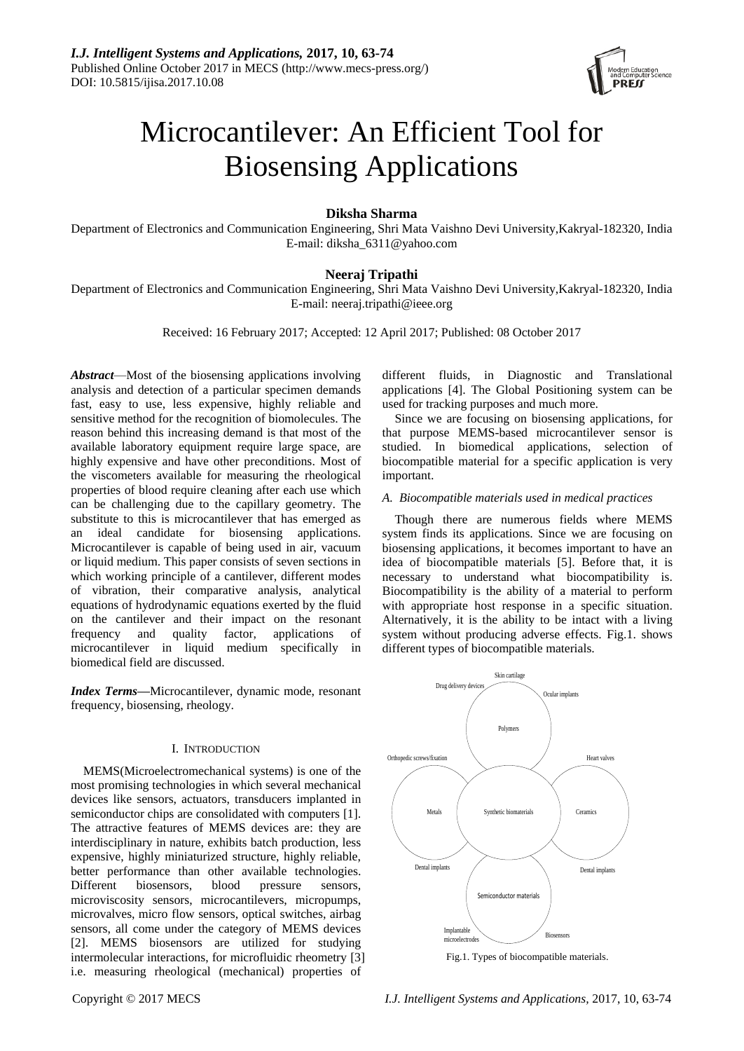

# Microcantilever: An Efficient Tool for Biosensing Applications

# **Diksha Sharma**

Department of Electronics and Communication Engineering, Shri Mata Vaishno Devi University,Kakryal-182320, India E-mail: diksha\_6311@yahoo.com

# **Neeraj Tripathi**

Department of Electronics and Communication Engineering, Shri Mata Vaishno Devi University,Kakryal-182320, India E-mail: neeraj.tripathi@ieee.org

Received: 16 February 2017; Accepted: 12 April 2017; Published: 08 October 2017

*Abstract*—Most of the biosensing applications involving analysis and detection of a particular specimen demands fast, easy to use, less expensive, highly reliable and sensitive method for the recognition of biomolecules. The reason behind this increasing demand is that most of the available laboratory equipment require large space, are highly expensive and have other preconditions. Most of the viscometers available for measuring the rheological properties of blood require cleaning after each use which can be challenging due to the capillary geometry. The substitute to this is microcantilever that has emerged as an ideal candidate for biosensing applications. Microcantilever is capable of being used in air, vacuum or liquid medium. This paper consists of seven sections in which working principle of a cantilever, different modes of vibration, their comparative analysis, analytical equations of hydrodynamic equations exerted by the fluid on the cantilever and their impact on the resonant frequency and quality factor, applications of microcantilever in liquid medium specifically in biomedical field are discussed.

*Index Terms***—**Microcantilever, dynamic mode, resonant frequency, biosensing, rheology.

# I. INTRODUCTION

MEMS(Microelectromechanical systems) is one of the most promising technologies in which several mechanical devices like sensors, actuators, transducers implanted in semiconductor chips are consolidated with computers [1]. The attractive features of MEMS devices are: they are interdisciplinary in nature, exhibits batch production, less expensive, highly miniaturized structure, highly reliable, better performance than other available technologies. Different biosensors, blood pressure sensors, microviscosity sensors, microcantilevers, micropumps, microvalves, micro flow sensors, optical switches, airbag sensors, all come under the category of MEMS devices [2]. MEMS biosensors are utilized for studying intermolecular interactions, for microfluidic rheometry [3] i.e. measuring rheological (mechanical) properties of

different fluids, in Diagnostic and Translational applications [4]. The Global Positioning system can be used for tracking purposes and much more.

Since we are focusing on biosensing applications, for that purpose MEMS-based microcantilever sensor is studied. In biomedical applications, selection of biocompatible material for a specific application is very important.

*A. Biocompatible materials used in medical practices* 

Though there are numerous fields where MEMS system finds its applications. Since we are focusing on biosensing applications, it becomes important to have an idea of biocompatible materials [5]. Before that, it is necessary to understand what biocompatibility is. Biocompatibility is the ability of a material to perform with appropriate host response in a specific situation. Alternatively, it is the ability to be intact with a living system without producing adverse effects. Fig.1. shows different types of biocompatible materials.



Fig.1. Types of biocompatible materials.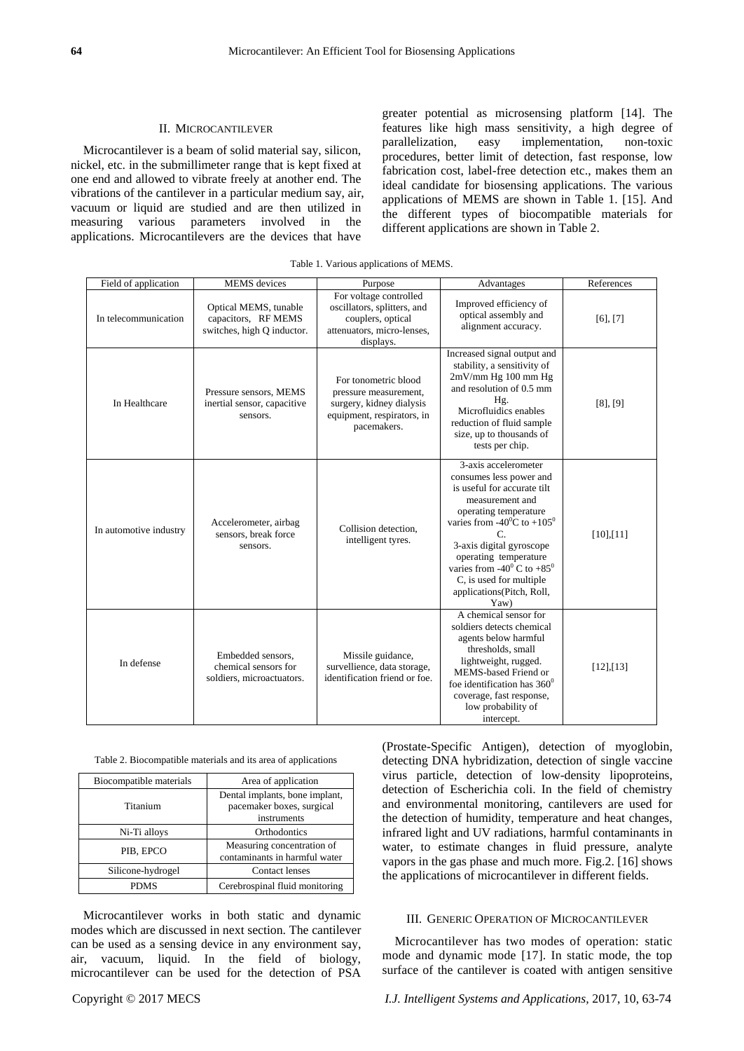#### II. MICROCANTILEVER

Microcantilever is a beam of solid material say, silicon, nickel, etc. in the submillimeter range that is kept fixed at one end and allowed to vibrate freely at another end. The vibrations of the cantilever in a particular medium say, air, vacuum or liquid are studied and are then utilized in measuring various parameters involved in the applications. Microcantilevers are the devices that have

greater potential as microsensing platform [14]. The features like high mass sensitivity, a high degree of parallelization, easy implementation, non-toxic procedures, better limit of detection, fast response, low fabrication cost, label-free detection etc., makes them an ideal candidate for biosensing applications. The various applications of MEMS are shown in Table 1. [15]. And the different types of biocompatible materials for different applications are shown in Table 2.

| Field of application   | <b>MEMS</b> devices                                                        | Purpose                                                                                                                | Advantages                                                                                                                                                                                                                                                                                                                                    | References      |
|------------------------|----------------------------------------------------------------------------|------------------------------------------------------------------------------------------------------------------------|-----------------------------------------------------------------------------------------------------------------------------------------------------------------------------------------------------------------------------------------------------------------------------------------------------------------------------------------------|-----------------|
| In telecommunication   | Optical MEMS, tunable<br>capacitors, RF MEMS<br>switches, high Q inductor. | For voltage controlled<br>oscillators, splitters, and<br>couplers, optical<br>attenuators, micro-lenses,<br>displays.  | Improved efficiency of<br>optical assembly and<br>alignment accuracy.                                                                                                                                                                                                                                                                         | $[6]$ , $[7]$   |
| In Healthcare          | Pressure sensors, MEMS<br>inertial sensor, capacitive<br>sensors.          | For tonometric blood<br>pressure measurement,<br>surgery, kidney dialysis<br>equipment, respirators, in<br>pacemakers. | Increased signal output and<br>stability, a sensitivity of<br>2mV/mm Hg 100 mm Hg<br>and resolution of 0.5 mm<br>Hg.<br>Microfluidics enables<br>reduction of fluid sample<br>size, up to thousands of<br>tests per chip.                                                                                                                     | $[8]$ , $[9]$   |
| In automotive industry | Accelerometer, airbag<br>sensors, break force<br>sensors.                  | Collision detection,<br>intelligent tyres.                                                                             | 3-axis accelerometer<br>consumes less power and<br>is useful for accurate tilt<br>measurement and<br>operating temperature<br>varies from -40 $^0$ C to +105 $^0$<br>C<br>3-axis digital gyroscope<br>operating temperature<br>varies from -40 $^{\circ}$ C to +85 $^{\circ}$<br>C, is used for multiple<br>applications(Pitch, Roll,<br>Yaw) | $[10]$ , $[11]$ |
| In defense             | Embedded sensors.<br>chemical sensors for<br>soldiers, microactuators.     | Missile guidance,<br>survellience, data storage,<br>identification friend or foe.                                      | A chemical sensor for<br>soldiers detects chemical<br>agents below harmful<br>thresholds, small<br>lightweight, rugged.<br>MEMS-based Friend or<br>foe identification has $360^0$<br>coverage, fast response,<br>low probability of<br>intercept.                                                                                             | $[12]$ , $[13]$ |

| Table 2. Biocompatible materials and its area of applications |  |  |  |
|---------------------------------------------------------------|--|--|--|
|---------------------------------------------------------------|--|--|--|

| Biocompatible materials | Area of application                                                        |
|-------------------------|----------------------------------------------------------------------------|
| Titanium                | Dental implants, bone implant,<br>pacemaker boxes, surgical<br>instruments |
| Ni-Ti alloys            | <b>Orthodontics</b>                                                        |
| PIB, EPCO               | Measuring concentration of<br>contaminants in harmful water                |
| Silicone-hydrogel       | <b>Contact lenses</b>                                                      |
| <b>PDMS</b>             | Cerebrospinal fluid monitoring                                             |

Microcantilever works in both static and dynamic modes which are discussed in next section. The cantilever can be used as a sensing device in any environment say, air, vacuum, liquid. In the field of biology, microcantilever can be used for the detection of PSA

(Prostate-Specific Antigen), detection of myoglobin, detecting DNA hybridization, detection of single vaccine virus particle, detection of low-density lipoproteins, detection of Escherichia coli. In the field of chemistry and environmental monitoring, cantilevers are used for the detection of humidity, temperature and heat changes, infrared light and UV radiations, harmful contaminants in water, to estimate changes in fluid pressure, analyte vapors in the gas phase and much more. Fig.2. [16] shows the applications of microcantilever in different fields.

#### III. GENERIC OPERATION OF MICROCANTILEVER

Microcantilever has two modes of operation: static mode and dynamic mode [17]. In static mode, the top surface of the cantilever is coated with antigen sensitive

Copyright © 2017 MECS *I.J. Intelligent Systems and Applications,* 2017, 10, 63-74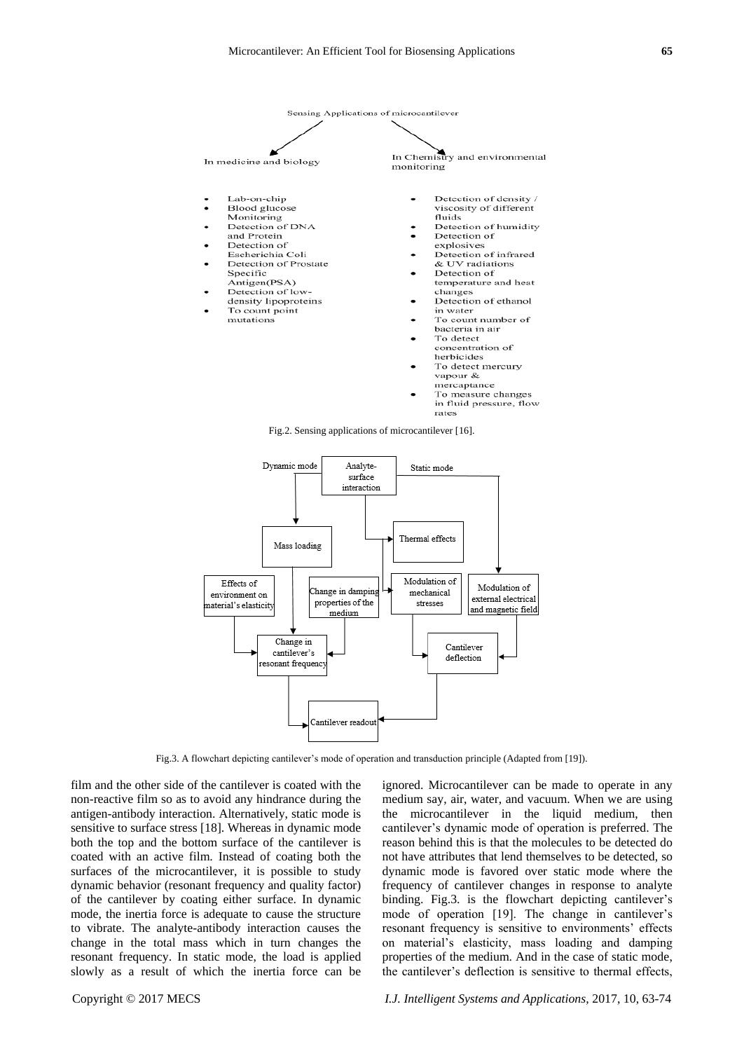



Fig.3. A flowchart depicting cantilever's mode of operation and transduction principle (Adapted from [19]).

film and the other side of the cantilever is coated with the non-reactive film so as to avoid any hindrance during the antigen-antibody interaction. Alternatively, static mode is sensitive to surface stress [18]. Whereas in dynamic mode both the top and the bottom surface of the cantilever is coated with an active film. Instead of coating both the surfaces of the microcantilever, it is possible to study dynamic behavior (resonant frequency and quality factor) of the cantilever by coating either surface. In dynamic mode, the inertia force is adequate to cause the structure to vibrate. The analyte-antibody interaction causes the change in the total mass which in turn changes the resonant frequency. In static mode, the load is applied slowly as a result of which the inertia force can be ignored. Microcantilever can be made to operate in any medium say, air, water, and vacuum. When we are using the microcantilever in the liquid medium, then cantilever's dynamic mode of operation is preferred. The reason behind this is that the molecules to be detected do not have attributes that lend themselves to be detected, so dynamic mode is favored over static mode where the frequency of cantilever changes in response to analyte binding. Fig.3. is the flowchart depicting cantilever's mode of operation [19]. The change in cantilever's resonant frequency is sensitive to environments' effects on material's elasticity, mass loading and damping properties of the medium. And in the case of static mode, the cantilever's deflection is sensitive to thermal effects,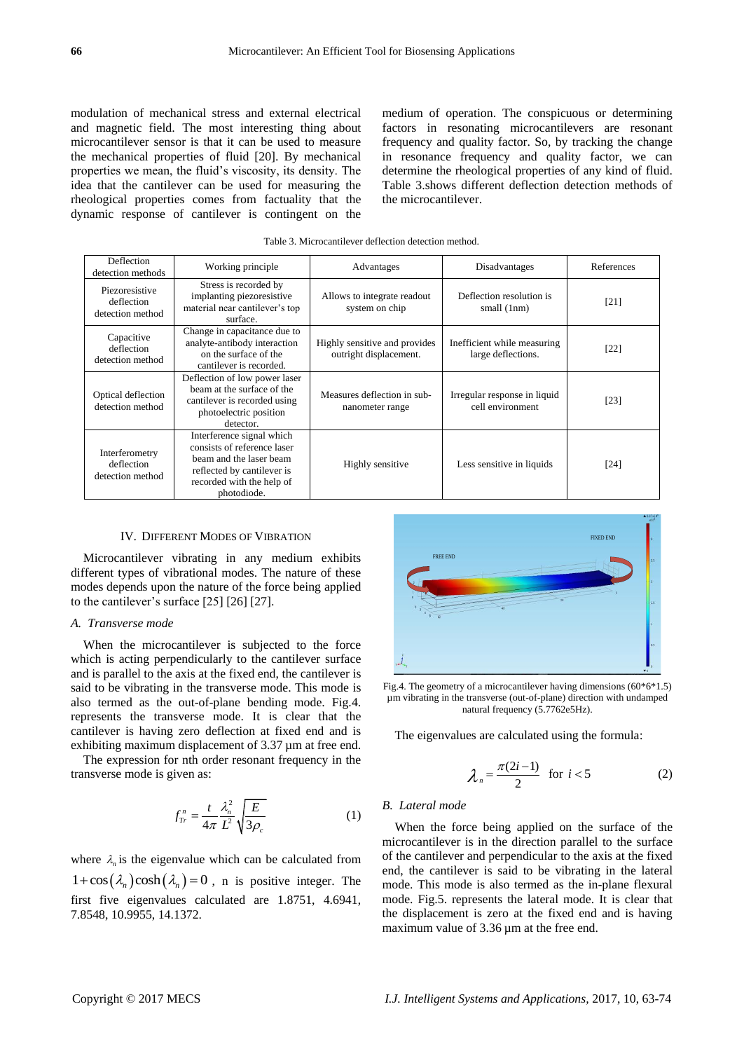modulation of mechanical stress and external electrical and magnetic field. The most interesting thing about microcantilever sensor is that it can be used to measure the mechanical properties of fluid [20]. By mechanical properties we mean, the fluid's viscosity, its density. The idea that the cantilever can be used for measuring the rheological properties comes from factuality that the dynamic response of cantilever is contingent on the medium of operation. The conspicuous or determining factors in resonating microcantilevers are resonant frequency and quality factor. So, by tracking the change in resonance frequency and quality factor, we can determine the rheological properties of any kind of fluid. Table 3.shows different deflection detection methods of the microcantilever.

| Table 3. Microcantilever deflection detection method. |  |
|-------------------------------------------------------|--|
|-------------------------------------------------------|--|

| Deflection<br>detection methods                  | Working principle                                                                                                                                             | Advantages                                              | Disadvantages                                     | References |
|--------------------------------------------------|---------------------------------------------------------------------------------------------------------------------------------------------------------------|---------------------------------------------------------|---------------------------------------------------|------------|
| Piezoresistive<br>deflection<br>detection method | Stress is recorded by<br>implanting piezoresistive<br>material near cantilever's top<br>surface.                                                              | Allows to integrate readout<br>system on chip           | Deflection resolution is<br>small (1nm)           | $[21]$     |
| Capacitive<br>deflection<br>detection method     | Change in capacitance due to<br>analyte-antibody interaction<br>on the surface of the<br>cantilever is recorded.                                              | Highly sensitive and provides<br>outright displacement. | Inefficient while measuring<br>large deflections. | [22]       |
| Optical deflection<br>detection method           | Deflection of low power laser<br>beam at the surface of the<br>cantilever is recorded using<br>photoelectric position<br>detector.                            | Measures deflection in sub-<br>nanometer range          | Irregular response in liquid<br>cell environment  | [23]       |
| Interferometry<br>deflection<br>detection method | Interference signal which<br>consists of reference laser<br>beam and the laser beam<br>reflected by cantilever is<br>recorded with the help of<br>photodiode. | Highly sensitive                                        | Less sensitive in liquids                         | [24]       |

#### IV. DIFFERENT MODES OF VIBRATION

Microcantilever vibrating in any medium exhibits different types of vibrational modes. The nature of these modes depends upon the nature of the force being applied to the cantilever's surface [25] [26] [27].

# *A. Transverse mode*

When the microcantilever is subjected to the force which is acting perpendicularly to the cantilever surface and is parallel to the axis at the fixed end, the cantilever is said to be vibrating in the transverse mode. This mode is also termed as the out-of-plane bending mode. Fig.4. represents the transverse mode. It is clear that the cantilever is having zero deflection at fixed end and is exhibiting maximum displacement of 3.37  $\mu$ m at free end.

The expression for nth order resonant frequency in the transverse mode is given as:

$$
f_{Tr}^{n} = \frac{t}{4\pi} \frac{\lambda_n^2}{L^2} \sqrt{\frac{E}{3\rho_c}}
$$
 (1)

where  $\lambda_n$  is the eigenvalue which can be calculated from  $1 + \cos(\lambda_n) \cosh(\lambda_n) = 0$ , n is positive integer. The first five eigenvalues calculated are 1.8751, 4.6941, 7.8548, 10.9955, 14.1372.



Fig.4. The geometry of a microcantilever having dimensions (60\*6\*1.5) µm vibrating in the transverse (out-of-plane) direction with undamped natural frequency (5.7762e5Hz).

The eigenvalues are calculated using the formula:

$$
\lambda_n = \frac{\pi(2i-1)}{2} \quad \text{for } i < 5 \tag{2}
$$

#### *B. Lateral mode*

When the force being applied on the surface of the microcantilever is in the direction parallel to the surface of the cantilever and perpendicular to the axis at the fixed end, the cantilever is said to be vibrating in the lateral mode. This mode is also termed as the in-plane flexural mode. Fig.5. represents the lateral mode. It is clear that the displacement is zero at the fixed end and is having maximum value of 3.36  $\mu$ m at the free end.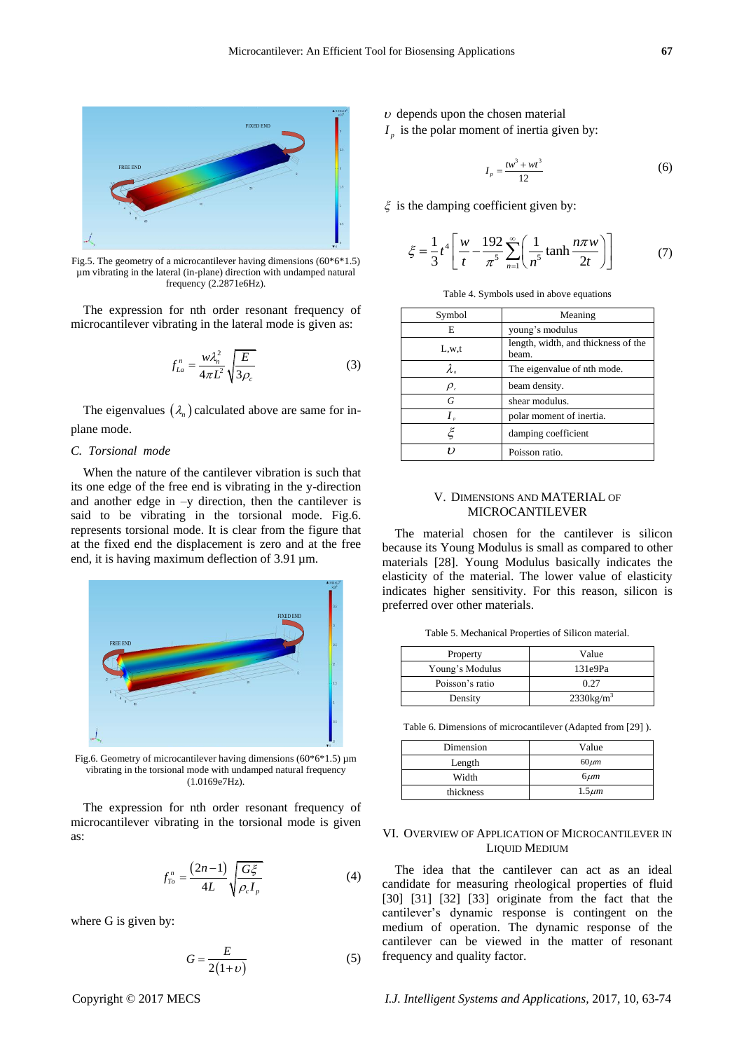

Fig.5. The geometry of a microcantilever having dimensions  $(60*6*1.5)$ µm vibrating in the lateral (in-plane) direction with undamped natural frequency (2.2871e6Hz).

The expression for nth order resonant frequency of microcantilever vibrating in the lateral mode is given as:

$$
f_{La}^n = \frac{w\lambda_n^2}{4\pi L^2} \sqrt{\frac{E}{3\rho_c}}
$$
 (3)

The eigenvalues  $(\lambda_n)$  calculated above are same for inplane mode.

### *C. Torsional mode*

When the nature of the cantilever vibration is such that its one edge of the free end is vibrating in the y-direction and another edge in –y direction, then the cantilever is said to be vibrating in the torsional mode. Fig.6. represents torsional mode. It is clear from the figure that at the fixed end the displacement is zero and at the free end, it is having maximum deflection of 3.91  $\mu$ m.



Fig.6. Geometry of microcantilever having dimensions ( $60*6*1.5$ ) µm vibrating in the torsional mode with undamped natural frequency (1.0169e7Hz).

The expression for nth order resonant frequency of microcantilever vibrating in the torsional mode is given as:

$$
f_{To}^n = \frac{(2n-1)}{4L} \sqrt{\frac{G\xi}{\rho_c I_p}}
$$
(4)

where G is given by:

$$
G = \frac{E}{2(1+\nu)}\tag{5}
$$

 $\nu$  depends upon the chosen material

 $I_p$  is the polar moment of inertia given by:

$$
I_p = \frac{tw^3 + wt^3}{12}
$$
 (6)

 $\xi$  is the damping coefficient given by:

$$
\xi = \frac{1}{3}t^4 \left[ \frac{w}{t} - \frac{192}{\pi^5} \sum_{n=1}^{\infty} \left( \frac{1}{n^5} \tanh \frac{n\pi w}{2t} \right) \right]
$$
(7)

|  |  |  |  |  | Table 4. Symbols used in above equations |
|--|--|--|--|--|------------------------------------------|
|--|--|--|--|--|------------------------------------------|

| Symbol                        | Meaning                                      |
|-------------------------------|----------------------------------------------|
| E                             | young's modulus                              |
| L,w,t                         | length, width, and thickness of the<br>beam. |
| $\lambda$ ,                   | The eigenvalue of nth mode.                  |
| $\rho_{\scriptscriptstyle c}$ | beam density.                                |
| G                             | shear modulus.                               |
| $I_{\nu}$                     | polar moment of inertia.                     |
| ξ                             | damping coefficient                          |
| ,,                            | Poisson ratio.                               |

# V. DIMENSIONS AND MATERIAL OF MICROCANTILEVER

The material chosen for the cantilever is silicon because its Young Modulus is small as compared to other materials [28]. Young Modulus basically indicates the elasticity of the material. The lower value of elasticity indicates higher sensitivity. For this reason, silicon is preferred over other materials.

Table 5. Mechanical Properties of Silicon material.

| Property        | Value                    |
|-----------------|--------------------------|
| Young's Modulus | 131e9Pa                  |
| Poisson's ratio | 0.27                     |
| Density         | $2330$ kg/m <sup>3</sup> |

Table 6. Dimensions of microcantilever (Adapted from [29] ).

| Dimension | Value       |
|-----------|-------------|
| Length    | $60 \mu m$  |
| Width     | $6 \mu m$   |
| thickness | $1.5 \mu m$ |

# VI. OVERVIEW OF APPLICATION OF MICROCANTILEVER IN LIQUID MEDIUM

The idea that the cantilever can act as an ideal candidate for measuring rheological properties of fluid [30] [31] [32] [33] originate from the fact that the cantilever's dynamic response is contingent on the medium of operation. The dynamic response of the cantilever can be viewed in the matter of resonant frequency and quality factor.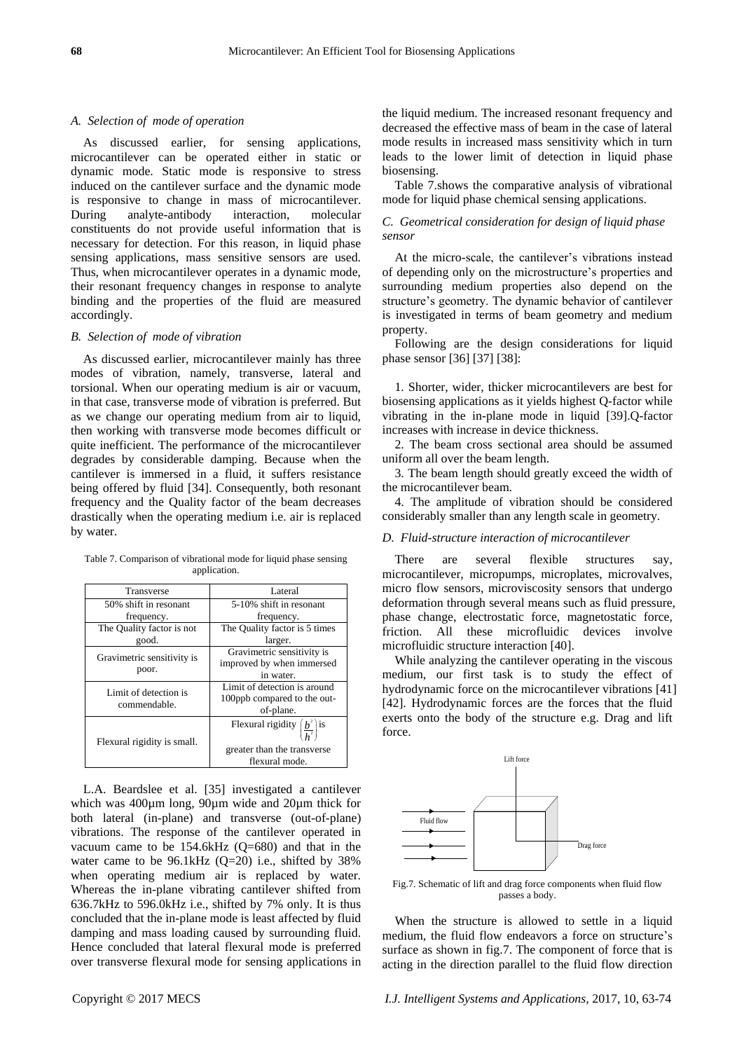#### *A. Selection of mode of operation*

As discussed earlier, for sensing applications, microcantilever can be operated either in static or dynamic mode. Static mode is responsive to stress induced on the cantilever surface and the dynamic mode is responsive to change in mass of microcantilever. During analyte-antibody interaction, molecular constituents do not provide useful information that is necessary for detection. For this reason, in liquid phase sensing applications, mass sensitive sensors are used. Thus, when microcantilever operates in a dynamic mode, their resonant frequency changes in response to analyte binding and the properties of the fluid are measured accordingly.

## *B. Selection of mode of vibration*

As discussed earlier, microcantilever mainly has three modes of vibration, namely, transverse, lateral and torsional. When our operating medium is air or vacuum, in that case, transverse mode of vibration is preferred. But as we change our operating medium from air to liquid, then working with transverse mode becomes difficult or quite inefficient. The performance of the microcantilever degrades by considerable damping. Because when the cantilever is immersed in a fluid, it suffers resistance being offered by fluid [34]. Consequently, both resonant frequency and the Quality factor of the beam decreases drastically when the operating medium i.e. air is replaced by water.

Table 7. Comparison of vibrational mode for liquid phase sensing application.

| Transverse                            | Lateral                                                                                              |
|---------------------------------------|------------------------------------------------------------------------------------------------------|
| 50% shift in resonant                 | 5-10% shift in resonant                                                                              |
| frequency.                            | frequency.                                                                                           |
| The Quality factor is not             | The Quality factor is 5 times                                                                        |
| good.                                 | larger.                                                                                              |
| Gravimetric sensitivity is<br>poor.   | Gravimetric sensitivity is<br>improved by when immersed<br>in water.                                 |
| Limit of detection is<br>commendable. | Limit of detection is around<br>100ppb compared to the out-<br>of-plane.                             |
| Flexural rigidity is small.           | Flexural rigidity $\left(\frac{b^2}{h^2}\right)$ is<br>greater than the transverse<br>flexural mode. |

L.A. Beardslee et al. [35] investigated a cantilever which was  $400 \mu m$  long,  $90 \mu m$  wide and  $20 \mu m$  thick for both lateral (in-plane) and transverse (out-of-plane) vibrations. The response of the cantilever operated in vacuum came to be  $154.6kHz$  (Q=680) and that in the water came to be  $96.1 \text{kHz}$  (Q=20) i.e., shifted by 38% when operating medium air is replaced by water. Whereas the in-plane vibrating cantilever shifted from 636.7kHz to 596.0kHz i.e., shifted by 7% only. It is thus concluded that the in-plane mode is least affected by fluid damping and mass loading caused by surrounding fluid. Hence concluded that lateral flexural mode is preferred over transverse flexural mode for sensing applications in

the liquid medium. The increased resonant frequency and decreased the effective mass of beam in the case of lateral mode results in increased mass sensitivity which in turn leads to the lower limit of detection in liquid phase biosensing.

Table 7.shows the comparative analysis of vibrational mode for liquid phase chemical sensing applications.

# *C. Geometrical consideration for design of liquid phase sensor*

At the micro-scale, the cantilever's vibrations instead of depending only on the microstructure's properties and surrounding medium properties also depend on the structure's geometry. The dynamic behavior of cantilever is investigated in terms of beam geometry and medium property.

Following are the design considerations for liquid phase sensor [36] [37] [38]:

1. Shorter, wider, thicker microcantilevers are best for biosensing applications as it yields highest Q-factor while vibrating in the in-plane mode in liquid [39].Q-factor increases with increase in device thickness.

2. The beam cross sectional area should be assumed uniform all over the beam length.

3. The beam length should greatly exceed the width of the microcantilever beam.

4. The amplitude of vibration should be considered considerably smaller than any length scale in geometry.

# *D. Fluid-structure interaction of microcantilever*

There are several flexible structures say, microcantilever, micropumps, microplates, microvalves, micro flow sensors, microviscosity sensors that undergo deformation through several means such as fluid pressure, phase change, electrostatic force, magnetostatic force, friction. All these microfluidic devices involve microfluidic structure interaction [40].

While analyzing the cantilever operating in the viscous medium, our first task is to study the effect of hydrodynamic force on the microcantilever vibrations [41] [42]. Hydrodynamic forces are the forces that the fluid exerts onto the body of the structure e.g. Drag and lift force.



Fig.7. Schematic of lift and drag force components when fluid flow passes a body.

When the structure is allowed to settle in a liquid medium, the fluid flow endeavors a force on structure's surface as shown in fig.7. The component of force that is acting in the direction parallel to the fluid flow direction

Copyright © 2017 MECS *I.J. Intelligent Systems and Applications,* 2017, 10, 63-74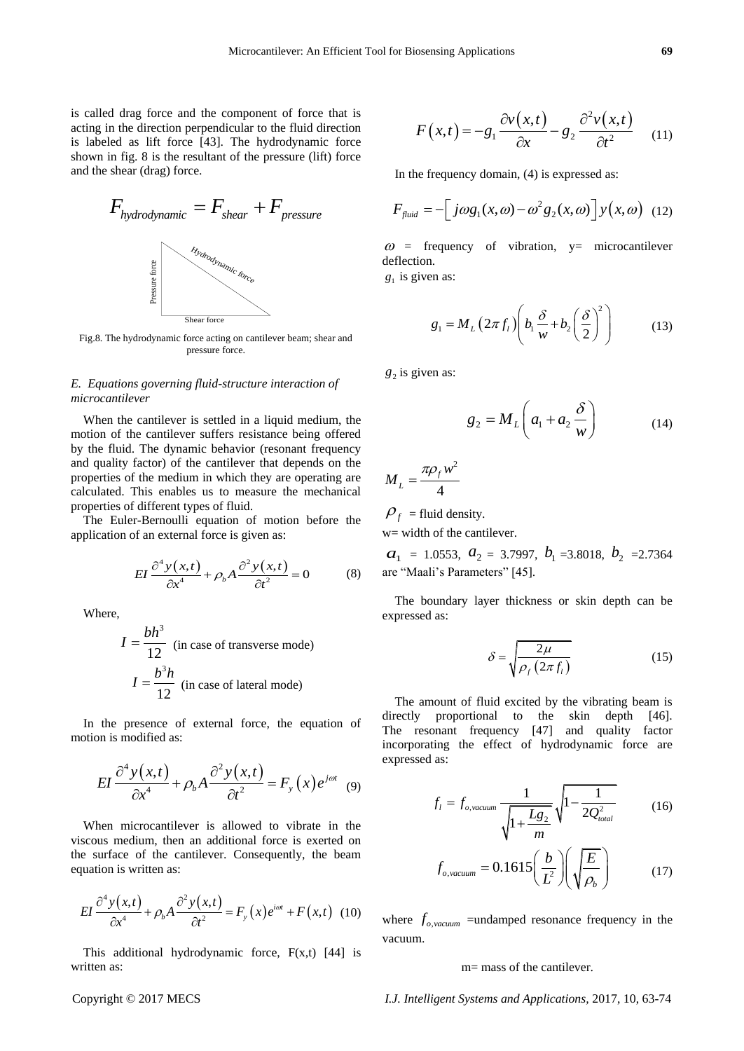is called drag force and the component of force that is acting in the direction perpendicular to the fluid direction is labeled as lift force [43]. The hydrodynamic force shown in fig. 8 is the resultant of the pressure (lift) force and the shear (drag) force.



Fig.8. The hydrodynamic force acting on cantilever beam; shear and pressure force.

# *E. Equations governing fluid-structure interaction of microcantilever*

When the cantilever is settled in a liquid medium, the motion of the cantilever suffers resistance being offered by the fluid. The dynamic behavior (resonant frequency and quality factor) of the cantilever that depends on the properties of the medium in which they are operating are calculated. This enables us to measure the mechanical properties of different types of fluid.

The Euler-Bernoulli equation of motion before the application of an external force is given as:

$$
EI \frac{\partial^4 y(x,t)}{\partial x^4} + \rho_b A \frac{\partial^2 y(x,t)}{\partial t^2} = 0
$$
 (8)

Where,

$$
I = \frac{bh^3}{12}
$$
 (in case of transverse mode)  

$$
I = \frac{b^3 h}{12}
$$
 (in case of lateral mode)

In the presence of external force, the equation of motion is modified as:

$$
EI\frac{\partial^4 y(x,t)}{\partial x^4} + \rho_b A \frac{\partial^2 y(x,t)}{\partial t^2} = F_y(x)e^{j\omega t} \quad (9)
$$

When microcantilever is allowed to vibrate in the viscous medium, then an additional force is exerted on the surface of the cantilever. Consequently, the beam equation is written as:

$$
EI\frac{\partial^4 y(x,t)}{\partial x^4} + \rho_b A \frac{\partial^2 y(x,t)}{\partial t^2} = F_y(x)e^{i\omega t} + F(x,t)
$$
 (10)

This additional hydrodynamic force,  $F(x,t)$  [44] is written as:

$$
F(x,t) = -g_1 \frac{\partial v(x,t)}{\partial x} - g_2 \frac{\partial^2 v(x,t)}{\partial t^2}
$$
 (11)

In the frequency domain, (4) is expressed as:

$$
F_{\text{fluid}} = -\left[j\omega g_1(x,\omega) - \omega^2 g_2(x,\omega)\right] y(x,\omega) \tag{12}
$$

 $\omega$  = frequency of vibration, y= microcantilever deflection.

 $g_1$  is given as:

$$
g_1 = M_L \left( 2\pi f_l \right) \left( b_l \frac{\delta}{w} + b_2 \left( \frac{\delta}{2} \right)^2 \right) \tag{13}
$$

 $g_2$  is given as:

$$
g_2 = M_L \left( a_1 + a_2 \frac{\delta}{w} \right) \tag{14}
$$

$$
M_L = \frac{\pi \rho_f w^2}{4}
$$

 $\rho_f$  = fluid density.

w= width of the cantilever.

 $a_1 = 1.0553, a_2 = 3.7997, b_1 = 3.8018, b_2 = 2.7364$ are "Maali's Parameters" [45].

The boundary layer thickness or skin depth can be expressed as:

$$
\delta = \sqrt{\frac{2\mu}{\rho_f \left(2\pi f_l\right)}}
$$
\n(15)

The amount of fluid excited by the vibrating beam is directly proportional to the skin depth [46]. The resonant frequency [47] and quality factor incorporating the effect of hydrodynamic force are expressed as:

$$
f_l = f_{o, vacuum} \frac{1}{\sqrt{1 + \frac{Lg_2}{m}}} \sqrt{1 - \frac{1}{2Q_{total}^2}}
$$
(16)

$$
f_{o, vacuum} = 0.1615 \left(\frac{b}{L^2}\right) \left(\sqrt{\frac{E}{\rho_b}}\right) \tag{17}
$$

where  $f_{o, vacuum}$  =undamped resonance frequency in the vacuum.

#### m= mass of the cantilever.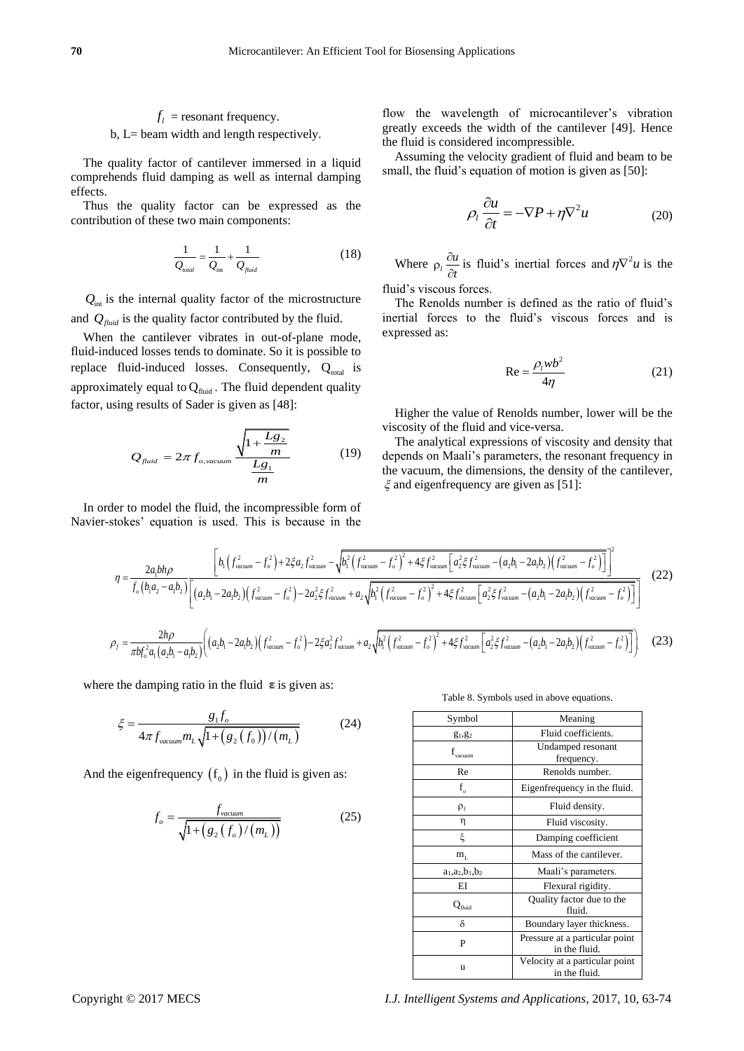# $f_l$  = resonant frequency.

b, L= beam width and length respectively.

The quality factor of cantilever immersed in a liquid comprehends fluid damping as well as internal damping effects.

Thus the quality factor can be expressed as the contribution of these two main components:

$$
\frac{1}{Q_{\text{total}}} = \frac{1}{Q_{\text{int}}} + \frac{1}{Q_{\text{fluid}}}
$$
(18)

 $Q<sub>int</sub>$  is the internal quality factor of the microstructure and  $Q_{\text{fluid}}$  is the quality factor contributed by the fluid.

When the cantilever vibrates in out-of-plane mode, fluid-induced losses tends to dominate. So it is possible to replace fluid-induced losses. Consequently,  $Q_{total}$  is approximately equal to  $Q_{\text{fluid}}$ . The fluid dependent quality factor, using results of Sader is given as [48]:

$$
Q_{\text{fluid}} = 2\pi f_{o,\text{vacuum}} \frac{\sqrt{1 + \frac{Lg_2}{m}}}{\frac{Lg_1}{m}}
$$
 (19)

In order to model the fluid, the incompressible form of

flow the wavelength of microcantilever's vibration greatly exceeds the width of the cantilever [49]. Hence the fluid is considered incompressible.

Assuming the velocity gradient of fluid and beam to be small, the fluid's equation of motion is given as [50]:

$$
\rho_l \frac{\partial u}{\partial t} = -\nabla P + \eta \nabla^2 u \tag{20}
$$

Where  $\rho_i \frac{\partial u}{\partial x}$ *t*  $\rho_l \frac{\partial u}{\partial t}$  is fluid's inertial forces and  $\eta \nabla^2 u$  is the

fluid's viscous forces.

The Renolds number is defined as the ratio of fluid's inertial forces to the fluid's viscous forces and is expressed as:

$$
Re = \frac{\rho_l w b^2}{4\eta}
$$
 (21)

Higher the value of Renolds number, lower will be the viscosity of the fluid and vice-versa.

The analytical expressions of viscosity and density that depends on Maali's parameters, the resonant frequency in the vacuum, the dimensions, the density of the cantilever,  $\xi$  and eigenfrequency are given as [51]:

In order to model the fluid, the incompressible form of  
\nNavier-stokes' equation is used. This is because in the  
\n
$$
\eta = \frac{2a_1bh\rho}{f_o(b_1a_2 - a_1b_2)} \left[ b_1 \left( f_{vacuum}^2 - f_o^2 \right) + 2\xi a_2 f_{vacuum}^2 - \sqrt{b_1^2 \left( f_{vacuum}^2 - f_o^2 \right)^2 + 4\xi f_{vacuum}^2 \left[ a_2^2 \xi f_{vacuum}^2 - (a_2b_1 - 2a_1b_2) \left( f_{vacuum}^2 - f_o^2 \right) \right]^2} \right]
$$
\n
$$
\rho_f = \frac{2h\rho}{\pi b f_o^2 a_1 (a_2b_1 - a_1b_2)} \left[ (a_2b_1 - 2a_1b_2) \left( f_{vacuum}^2 - f_o^2 \right) - 2a_2^2 \xi f_{vacuum}^2 + a_2 \sqrt{b_1^2 \left( f_{vacuum}^2 - f_o^2 \right)^2 + 4\xi f_{vacuum}^2 \left[ a_2^2 \xi f_{vacuum}^2 - (a_2b_1 - 2a_1b_2) \left( f_{vacuum}^2 - f_o^2 \right) \right] \right]}
$$
\n
$$
\rho_f = \frac{2h\rho}{\pi b f_o^2 a_1 (a_2b_1 - a_1b_2)} \left[ (a_2b_1 - 2a_1b_2) \left( f_{vacuum}^2 - f_o^2 \right) - 2\xi a_2^2 f_{vacuum}^2 + a_2 \sqrt{b_1^2 \left( f_{vacuum}^2 - f_o^2 \right)^2 + 4\xi f_{vacuum}^2 \left[ a_2^2 \xi f_{vacuum}^2 - (a_2b_1 - 2a_1b_2) \left( f_{vacuum}^2 - f_o^2 \right) \right]} \right] \tag{23}
$$

where the damping ratio in the fluid  $\epsilon$  is given as:

$$
\xi = \frac{g_1 f_o}{4\pi f_{vacuum} m_L \sqrt{1 + (g_2(f_0)) / (m_L)}}
$$
(24)

And the eigenfrequency  $(f_0)$  in the fluid is given as:

$$
f_o = \frac{f_{vacuum}}{\sqrt{1 + (g_2(f_o)/(m_L))}}
$$
(25)

Table 8. Symbols used in above equations.

| Symbol                        | Meaning                                         |
|-------------------------------|-------------------------------------------------|
| $g_1, g_2$                    | Fluid coefficients.                             |
| $\mathbf{f}_\mathrm{vacuum}$  | Undamped resonant<br>frequency.                 |
| Re                            | Renolds number.                                 |
| $f_{o}$                       | Eigenfrequency in the fluid.                    |
| $\rho_{\rm f}$                | Fluid density.                                  |
| η                             | Fluid viscosity.                                |
| ξ                             | Damping coefficient                             |
| $m_{\scriptscriptstyle\rm I}$ | Mass of the cantilever.                         |
| $a_1, a_2, b_1, b_2$          | Maali's parameters.                             |
| ΕI                            | Flexural rigidity.                              |
| $\operatorname{Q_{fluid}}$    | Quality factor due to the<br>fluid.             |
| δ                             | Boundary layer thickness.                       |
| P                             | Pressure at a particular point<br>in the fluid. |
| u                             | Velocity at a particular point<br>in the fluid. |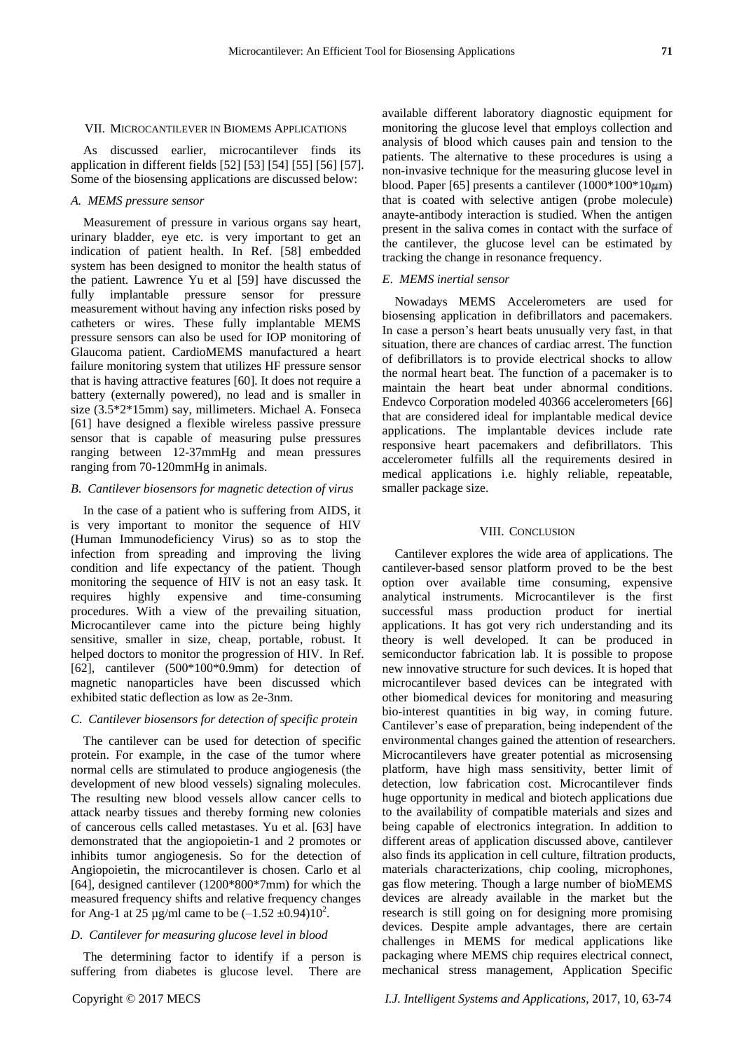#### VII. MICROCANTILEVER IN BIOMEMS APPLICATIONS

As discussed earlier, microcantilever finds its application in different fields [52] [53] [54] [55] [56] [57]. Some of the biosensing applications are discussed below:

# *A. MEMS pressure sensor*

Measurement of pressure in various organs say heart, urinary bladder, eye etc. is very important to get an indication of patient health. In Ref. [58] embedded system has been designed to monitor the health status of the patient. Lawrence Yu et al [59] have discussed the fully implantable pressure sensor for pressure measurement without having any infection risks posed by catheters or wires. These fully implantable MEMS pressure sensors can also be used for IOP monitoring of Glaucoma patient. CardioMEMS manufactured a heart failure monitoring system that utilizes HF pressure sensor that is having attractive features [60]. It does not require a battery (externally powered), no lead and is smaller in size (3.5\*2\*15mm) say, millimeters. Michael A. Fonseca [61] have designed a flexible wireless passive pressure sensor that is capable of measuring pulse pressures ranging between 12-37mmHg and mean pressures ranging from 70-120mmHg in animals.

## *B*. *Cantilever biosensors for magnetic detection of virus*

In the case of a patient who is suffering from AIDS, it is very important to monitor the sequence of HIV (Human Immunodeficiency Virus) so as to stop the infection from spreading and improving the living condition and life expectancy of the patient. Though monitoring the sequence of HIV is not an easy task. It requires highly expensive and time-consuming procedures. With a view of the prevailing situation, Microcantilever came into the picture being highly sensitive, smaller in size, cheap, portable, robust. It helped doctors to monitor the progression of HIV. In Ref. [62], cantilever (500\*100\*0.9mm) for detection of magnetic nanoparticles have been discussed which exhibited static deflection as low as 2e-3nm.

# *C*. *Cantilever biosensors for detection of specific protein*

The cantilever can be used for detection of specific protein. For example, in the case of the tumor where normal cells are stimulated to produce angiogenesis (the development of new blood vessels) signaling molecules. The resulting new blood vessels allow cancer cells to attack nearby tissues and thereby forming new colonies of cancerous cells called metastases. Yu et al. [63] have demonstrated that the angiopoietin-1 and 2 promotes or inhibits tumor angiogenesis. So for the detection of Angiopoietin, the microcantilever is chosen. Carlo et al [64], designed cantilever (1200\*800\*7mm) for which the measured frequency shifts and relative frequency changes for Ang-1 at 25  $\mu$ g/ml came to be  $(-1.52 \pm 0.94)10^2$ .

# *D*. *Cantilever for measuring glucose level in blood*

The determining factor to identify if a person is suffering from diabetes is glucose level. There are available different laboratory diagnostic equipment for monitoring the glucose level that employs collection and analysis of blood which causes pain and tension to the patients. The alternative to these procedures is using a non-invasive technique for the measuring glucose level in blood. Paper [65] presents a cantilever  $(1000*100*10 \mu m)$ that is coated with selective antigen (probe molecule) anayte-antibody interaction is studied. When the antigen present in the saliva comes in contact with the surface of the cantilever, the glucose level can be estimated by tracking the change in resonance frequency.

## *E*. *MEMS inertial sensor*

Nowadays MEMS Accelerometers are used for biosensing application in defibrillators and pacemakers. In case a person's heart beats unusually very fast, in that situation, there are chances of cardiac arrest. The function of defibrillators is to provide electrical shocks to allow the normal heart beat. The function of a pacemaker is to maintain the heart beat under abnormal conditions. Endevco Corporation modeled 40366 accelerometers [66] that are considered ideal for implantable medical device applications. The implantable devices include rate responsive heart pacemakers and defibrillators. This accelerometer fulfills all the requirements desired in medical applications i.e. highly reliable, repeatable, smaller package size.

#### VIII. CONCLUSION

Cantilever explores the wide area of applications. The cantilever-based sensor platform proved to be the best option over available time consuming, expensive analytical instruments. Microcantilever is the first successful mass production product for inertial applications. It has got very rich understanding and its theory is well developed. It can be produced in semiconductor fabrication lab. It is possible to propose new innovative structure for such devices. It is hoped that microcantilever based devices can be integrated with other biomedical devices for monitoring and measuring bio-interest quantities in big way, in coming future. Cantilever's ease of preparation, being independent of the environmental changes gained the attention of researchers. Microcantilevers have greater potential as microsensing platform, have high mass sensitivity, better limit of detection, low fabrication cost. Microcantilever finds huge opportunity in medical and biotech applications due to the availability of compatible materials and sizes and being capable of electronics integration. In addition to different areas of application discussed above, cantilever also finds its application in cell culture, filtration products, materials characterizations, chip cooling, microphones, gas flow metering. Though a large number of bioMEMS devices are already available in the market but the research is still going on for designing more promising devices. Despite ample advantages, there are certain challenges in MEMS for medical applications like packaging where MEMS chip requires electrical connect, mechanical stress management, Application Specific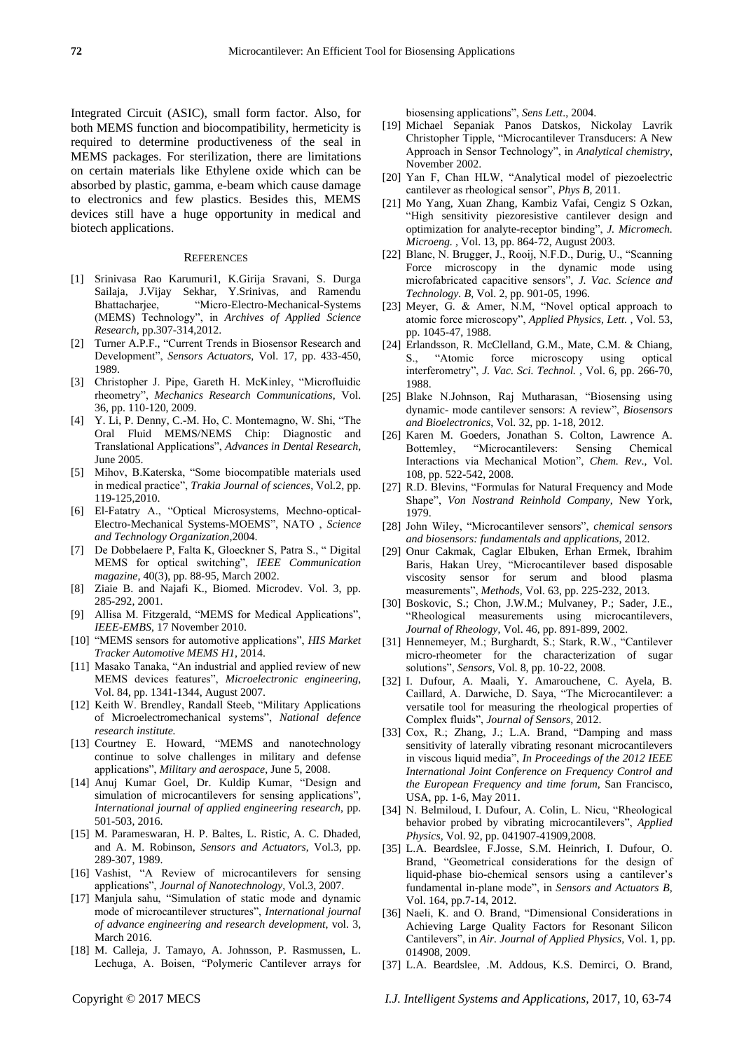Integrated Circuit (ASIC), small form factor. Also, for both MEMS function and biocompatibility, hermeticity is required to determine productiveness of the seal in MEMS packages. For sterilization, there are limitations on certain materials like Ethylene oxide which can be absorbed by plastic, gamma, e-beam which cause damage to electronics and few plastics. Besides this, MEMS devices still have a huge opportunity in medical and biotech applications.

#### **REFERENCES**

- [1] Srinivasa Rao Karumuri1, K.Girija Sravani, S. Durga Sailaja, J.Vijay Sekhar, Y.Srinivas, and Ramendu Bhattacharjee, 
"Micro-Electro-Mechanical-Systems (MEMS) Technology", in *Archives of Applied Science Research*, pp.307-314,2012.
- [2] Turner A.P.F., "Current Trends in Biosensor Research and Development", *Sensors Actuators*, Vol. 17, pp. 433-450, 1989.
- [3] Christopher J. Pipe, Gareth H. McKinley, "Microfluidic rheometry‖, *Mechanics Research Communications*, Vol. 36, pp. 110-120, 2009.
- [4] Y. Li, P. Denny, C.-M. Ho, C. Montemagno, W. Shi, "The Oral Fluid MEMS/NEMS Chip: Diagnostic and Translational Applications‖, *Advances in Dental Research,* June 2005.
- [5] Mihov, B.Katerska, "Some biocompatible materials used in medical practice", *Trakia Journal of sciences*, Vol.2, pp. 119-125,2010.
- [6] El-Fatatry A., "Optical Microsystems, Mechno-optical-Electro-Mechanical Systems-MOEMS‖, NATO , *Science and Technology Organization*,2004.
- [7] De Dobbelaere P, Falta K, Gloeckner S, Patra S., "Digital MEMS for optical switching", IEEE Communication *magazine*, 40(3), pp. 88-95, March 2002.
- [8] Ziaie B. and Najafi K., Biomed. Microdev. Vol. 3, pp. 285-292, 2001.
- [9] Allisa M. Fitzgerald, "MEMS for Medical Applications", *IEEE-EMBS*, 17 November 2010.
- [10] "MEMS sensors for automotive applications", *HIS Market Tracker Automotive MEMS H1*, 2014.
- [11] Masako Tanaka, "An industrial and applied review of new MEMS devices features", *Microelectronic engineering*, Vol. 84, pp. 1341-1344, August 2007.
- [12] Keith W. Brendley, Randall Steeb, "Military Applications" of Microelectromechanical systems‖, *National defence research institute.*
- [13] Courtney E. Howard, "MEMS and nanotechnology continue to solve challenges in military and defense applications‖, *Military and aerospace*, June 5, 2008.
- [14] Anuj Kumar Goel, Dr. Kuldip Kumar, "Design and simulation of microcantilevers for sensing applications", *International journal of applied engineering research*, pp. 501-503, 2016.
- [15] M. Parameswaran, H. P. Baltes, L. Ristic, A. C. Dhaded, and A. M. Robinson, *Sensors and Actuators*, Vol.3, pp. 289-307, 1989.
- [16] Vashist, "A Review of microcantilevers for sensing applications‖, *Journal of Nanotechnology*, Vol.3, 2007.
- [17] Manjula sahu, "Simulation of static mode and dynamic mode of microcantilever structures", *International journal of advance engineering and research development*, vol. 3, March 2016.
- [18] M. Calleja, J. Tamayo, A. Johnsson, P. Rasmussen, L. Lechuga, A. Boisen, "Polymeric Cantilever arrays for

biosensing applications", *Sens Lett.*, 2004.

- [19] Michael Sepaniak Panos Datskos, Nickolay Lavrik Christopher Tipple, "Microcantilever Transducers: A New Approach in Sensor Technology", in *Analytical chemistry*, November 2002.
- [20] Yan F, Chan HLW, "Analytical model of piezoelectric cantilever as rheological sensor", *Phys B*, 2011.
- [21] Mo Yang, Xuan Zhang, Kambiz Vafai, Cengiz S Ozkan, "High sensitivity piezoresistive cantilever design and optimization for analyte-receptor binding", *J. Micromech. Microeng. ,* Vol. 13, pp. 864-72, August 2003.
- [22] Blanc, N. Brugger, J., Rooij, N.F.D., Durig, U., "Scanning Force microscopy in the dynamic mode using microfabricated capacitive sensors‖, *J. Vac. Science and Technology. B*, Vol. 2, pp. 901-05, 1996.
- [23] Meyer, G. & Amer,  $\widetilde{N}$ .M, "Novel optical approach to atomic force microscopy", *Applied Physics, Lett.*, Vol. 53, pp. 1045-47, 1988.
- [24] Erlandsson, R. McClelland, G.M., Mate, C.M. & Chiang, S., "Atomic force microscopy using optical interferometry", *J. Vac. Sci. Technol.*, Vol. 6, pp. 266-70, 1988.
- [25] Blake N.Johnson, Raj Mutharasan, "Biosensing using dynamic- mode cantilever sensors: A review", *Biosensors and Bioelectronics*, Vol. 32, pp. 1-18, 2012.
- [26] Karen M. Goeders, Jonathan S. Colton, Lawrence A. Bottemley, "Microcantilevers: Sensing Chemical Interactions via Mechanical Motion", *Chem. Rev.*, Vol. 108, pp. 522-542, 2008.
- [27] R.D. Blevins, "Formulas for Natural Frequency and Mode Shape", *Von Nostrand Reinhold Company*, New York, 1979.
- [28] John Wiley, "Microcantilever sensors", *chemical sensors and biosensors: fundamentals and applications*, 2012.
- [29] Onur Cakmak, Caglar Elbuken, Erhan Ermek, Ibrahim Baris, Hakan Urey, "Microcantilever based disposable viscosity sensor for serum and blood plasma measurements‖, *Methods,* Vol. 63, pp. 225-232, 2013.
- [30] Boskovic, S.; Chon, J.W.M.; Mulvaney, P.; Sader, J.E., ―Rheological measurements using microcantilevers, *Journal of Rheology*, Vol. 46, pp. 891-899, 2002.
- [31] Hennemeyer, M.; Burghardt, S.; Stark, R.W., "Cantilever micro-rheometer for the characterization of sugar solutions‖, *Sensors*, Vol. 8, pp. 10-22, 2008.
- [32] I. Dufour, A. Maali, Y. Amarouchene, C. Ayela, B. Caillard, A. Darwiche, D. Saya, "The Microcantilever: a versatile tool for measuring the rheological properties of Complex fluids‖, *Journal of Sensors*, 2012.
- [33] Cox, R.; Zhang, J.; L.A. Brand, "Damping and mass sensitivity of laterally vibrating resonant microcantilevers in viscous liquid media‖, *In Proceedings of the 2012 IEEE International Joint Conference on Frequency Control and the European Frequency and time forum*, San Francisco, USA, pp. 1-6, May 2011.
- [34] N. Belmiloud, I. Dufour, A. Colin, L. Nicu, "Rheological behavior probed by vibrating microcantilevers", *Applied Physics*, Vol. 92, pp. 041907-41909,2008.
- [35] L.A. Beardslee, F.Josse, S.M. Heinrich, I. Dufour, O. Brand, "Geometrical considerations for the design of liquid-phase bio-chemical sensors using a cantilever's fundamental in-plane mode", in *Sensors and Actuators B*, Vol. 164, pp.7-14, 2012.
- [36] Naeli, K. and O. Brand, "Dimensional Considerations in Achieving Large Quality Factors for Resonant Silicon Cantilevers‖, in *Air. Journal of Applied Physics*, Vol. 1, pp. 014908, 2009.
- [37] L.A. Beardslee, .M. Addous, K.S. Demirci, O. Brand,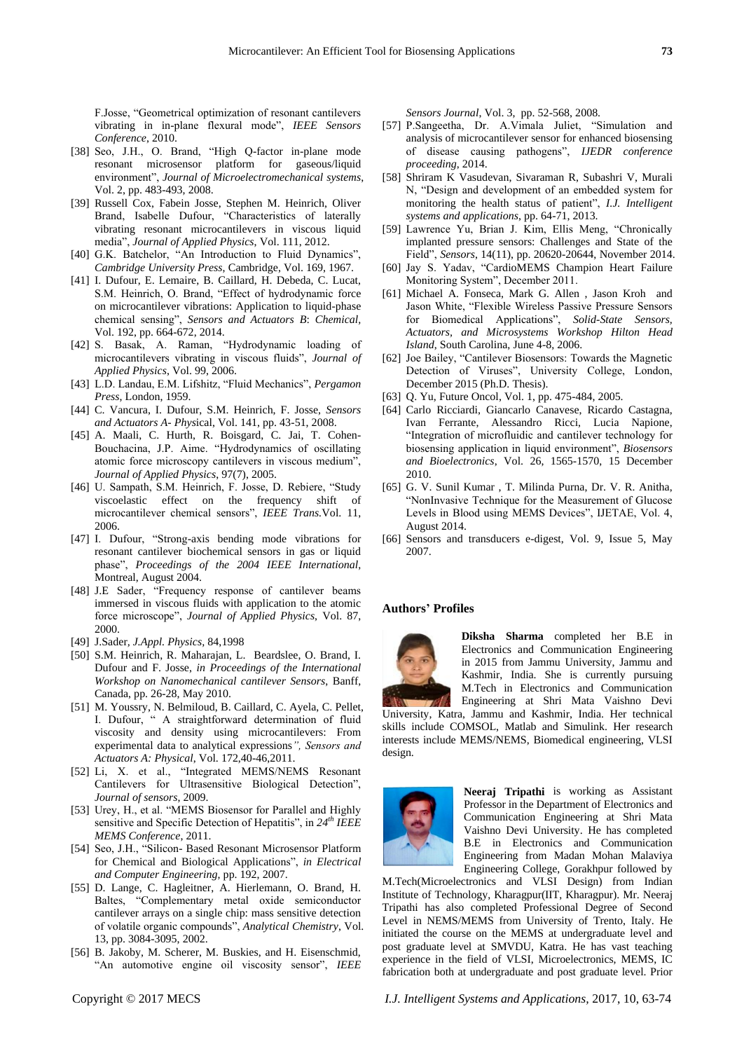F.Josse, "Geometrical optimization of resonant cantilevers vibrating in in-plane flexural mode", **IEEE** Sensors *Conference*, 2010.

- [38] Seo, J.H., O. Brand, "High Q-factor in-plane mode resonant microsensor platform for gaseous/liquid environment", *Journal of Microelectromechanical systems*, Vol. 2, pp. 483-493, 2008.
- [39] Russell Cox, Fabein Josse, Stephen M. Heinrich, Oliver Brand, Isabelle Dufour, "Characteristics of laterally vibrating resonant microcantilevers in viscous liquid media‖, *Journal of Applied Physics*, Vol. 111, 2012.
- [40] G.K. Batchelor, "An Introduction to Fluid Dynamics", *Cambridge University Press*, Cambridge, Vol. 169, 1967.
- [41] I. Dufour, E. Lemaire, B. Caillard, H. Debeda, C. Lucat, S.M. Heinrich, O. Brand, "Effect of hydrodynamic force on microcantilever vibrations: Application to liquid-phase chemical sensing", *Sensors and Actuators B*: *Chemical*, Vol. 192, pp. 664-672, 2014.
- [42] S. Basak, A. Raman, "Hydrodynamic loading of microcantilevers vibrating in viscous fluids‖, *Journal of Applied Physics*, Vol. 99, 2006.
- [43] L.D. Landau, E.M. Lifshitz, "Fluid Mechanics", *Pergamon Press*, London, 1959.
- [44] C. Vancura, I. Dufour, S.M. Heinrich, F. Josse, *Sensors and Actuators A- Phys*ical, Vol. 141, pp. 43-51, 2008.
- [45] A. Maali, C. Hurth, R. Boisgard, C. Jai, T. Cohen-Bouchacina, J.P. Aime. "Hydrodynamics of oscillating atomic force microscopy cantilevers in viscous medium", *Journal of Applied Physics*, 97(7), 2005.
- [46] U. Sampath, S.M. Heinrich, F. Josse, D. Rebiere, "Study viscoelastic effect on the frequency shift of microcantilever chemical sensors", *IEEE Trans.* Vol. 11, 2006.
- [47] I. Dufour, "Strong-axis bending mode vibrations for resonant cantilever biochemical sensors in gas or liquid phase", Proceedings of the 2004 IEEE International, Montreal, August 2004.
- [48] J.E Sader, "Frequency response of cantilever beams immersed in viscous fluids with application to the atomic force microscope", *Journal of Applied Physics*, Vol. 87, 2000.
- [49] J.Sader*, J.Appl. Physics,* 84,1998
- [50] S.M. Heinrich, R. Maharajan, L. Beardslee, O. Brand, I. Dufour and F. Josse, *in Proceedings of the International Workshop on Nanomechanical cantilever Sensors*, Banff, Canada, pp. 26-28, May 2010.
- [51] M. Youssry, N. Belmiloud, B. Caillard, C. Ayela, C. Pellet, I. Dufour, " A straightforward determination of fluid viscosity and density using microcantilevers: From experimental data to analytical expressions*", Sensors and Actuators A: Physical*, Vol. 172,40-46,2011.
- [52] Li, X. et al., "Integrated MEMS/NEMS Resonant Cantilevers for Ultrasensitive Biological Detection", *Journal of sensors*, 2009.
- [53] Urey, H., et al. "MEMS Biosensor for Parallel and Highly sensitive and Specific Detection of Hepatitis", in  $24^{th}$  *IEEE MEMS Conference*, 2011.
- [54] Seo, J.H., "Silicon- Based Resonant Microsensor Platform for Chemical and Biological Applications", *in Electrical and Computer Engineering*, pp. 192, 2007.
- [55] D. Lange, C. Hagleitner, A. Hierlemann, O. Brand, H. Baltes, "Complementary metal oxide semiconductor cantilever arrays on a single chip: mass sensitive detection of volatile organic compounds‖, *Analytical Chemistry*, Vol. 13, pp. 3084-3095, 2002.
- [56] B. Jakoby, M. Scherer, M. Buskies, and H. Eisenschmid, "An automotive engine oil viscosity sensor", *IEEE*

*Sensors Journal*, Vol. 3, pp. 52-568, 2008.

- [57] P.Sangeetha, Dr. A.Vimala Juliet, "Simulation and analysis of microcantilever sensor for enhanced biosensing of disease causing pathogens‖, *IJEDR conference proceeding*, 2014.
- [58] Shriram K Vasudevan, Sivaraman R, Subashri V, Murali N, "Design and development of an embedded system for monitoring the health status of patient", *I.J. Intelligent systems and applications*, pp. 64-71, 2013.
- [59] Lawrence Yu, Brian J. Kim, Ellis Meng, "Chronically implanted pressure sensors: Challenges and State of the Field‖, *Sensors*, 14(11), pp. 20620-20644, November 2014.
- [60] Jay S. Yadav, "CardioMEMS Champion Heart Failure Monitoring System", December 2011.
- [61] Michael A. Fonseca, Mark G. Allen , Jason Kroh and Jason White, "Flexible Wireless Passive Pressure Sensors for Biomedical Applications", *Solid-State Sensors*, *Actuators, and Microsystems Workshop Hilton Head Island*, South Carolina, June 4-8, 2006.
- [62] Joe Bailey, "Cantilever Biosensors: Towards the Magnetic Detection of Viruses", University College, London, December 2015 (Ph.D. Thesis).
- [63] Q. Yu, Future Oncol, Vol. 1, pp. 475-484, 2005.
- [64] Carlo Ricciardi, Giancarlo Canavese, Ricardo Castagna, Ivan Ferrante, Alessandro Ricci, Lucia Napione, "Integration of microfluidic and cantilever technology for biosensing application in liquid environment", *Biosensors and Bioelectronics*, Vol. 26, 1565-1570, 15 December 2010.
- [65] G. V. Sunil Kumar , T. Milinda Purna, Dr. V. R. Anitha, ―NonInvasive Technique for the Measurement of Glucose Levels in Blood using MEMS Devices", IJETAE, Vol. 4, August 2014.
- [66] Sensors and transducers e-digest, Vol. 9, Issue 5, May 2007.

## **Authors' Profiles**



**Diksha Sharma** completed her B.E in Electronics and Communication Engineering in 2015 from Jammu University, Jammu and Kashmir, India. She is currently pursuing M.Tech in Electronics and Communication Engineering at Shri Mata Vaishno Devi

University, Katra, Jammu and Kashmir, India. Her technical skills include COMSOL, Matlab and Simulink. Her research interests include MEMS/NEMS, Biomedical engineering, VLSI design.



**Neeraj Tripathi** is working as Assistant Professor in the Department of Electronics and Communication Engineering at Shri Mata Vaishno Devi University. He has completed B.E in Electronics and Communication Engineering from Madan Mohan Malaviya Engineering College, Gorakhpur followed by

M.Tech(Microelectronics and VLSI Design) from Indian Institute of Technology, Kharagpur(IIT, Kharagpur). Mr. Neeraj Tripathi has also completed Professional Degree of Second Level in NEMS/MEMS from University of Trento, Italy. He initiated the course on the MEMS at undergraduate level and post graduate level at SMVDU, Katra. He has vast teaching experience in the field of VLSI, Microelectronics, MEMS, IC fabrication both at undergraduate and post graduate level. Prior

Copyright © 2017 MECS *I.J. Intelligent Systems and Applications,* 2017, 10, 63-74